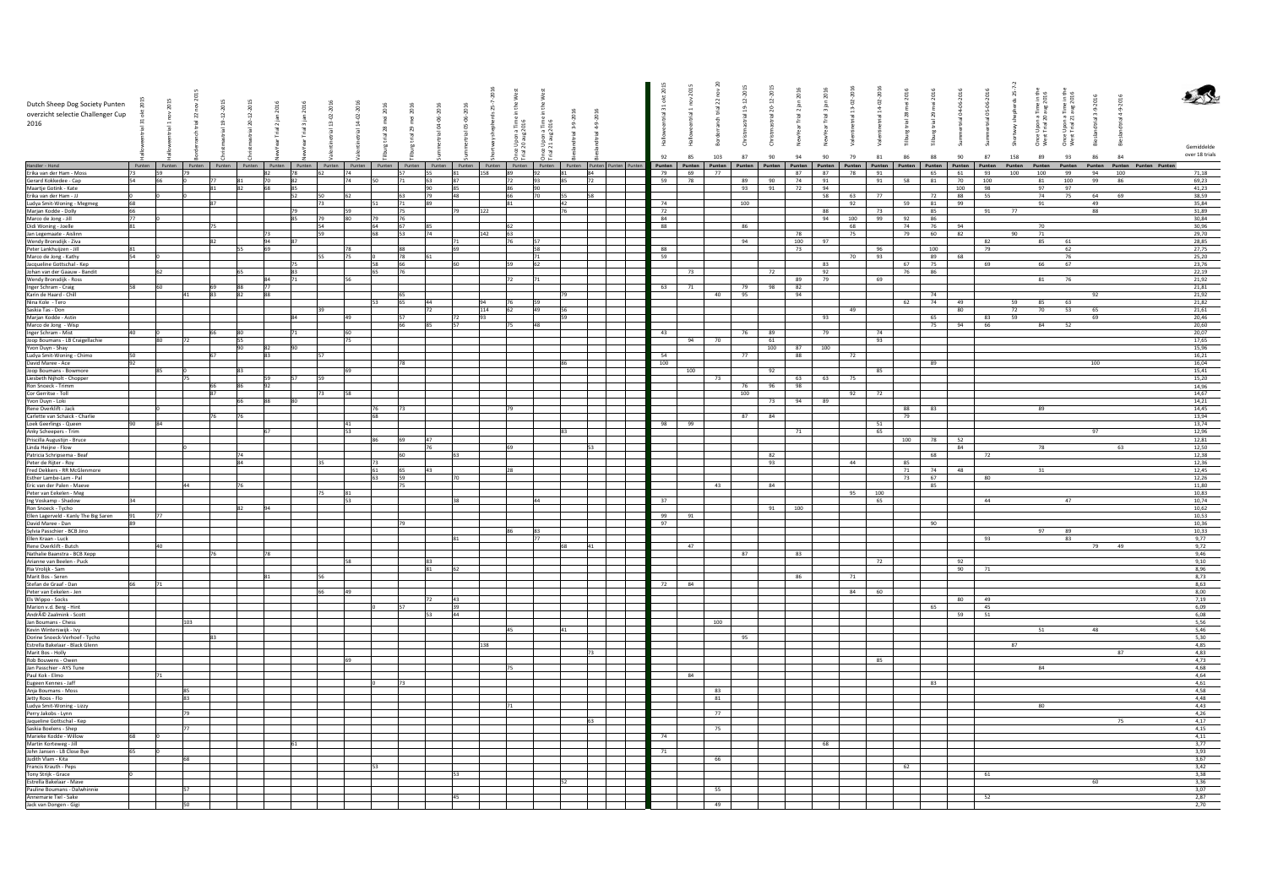|                                                                                                                                                                                                                                                 |    |      |           |          |           |            |    |           |    |                 |    |          |                              |                                      |    |                                                                                                                                                                        | 홍   |          |                | 20-12-201 |          |     |           |           |          |          | $\overline{5}$ |     | : Upon a Time in the<br>: Trial 20 aug 2016 |                         |         |                                                                                                                                                                                                                                       |                |  |
|-------------------------------------------------------------------------------------------------------------------------------------------------------------------------------------------------------------------------------------------------|----|------|-----------|----------|-----------|------------|----|-----------|----|-----------------|----|----------|------------------------------|--------------------------------------|----|------------------------------------------------------------------------------------------------------------------------------------------------------------------------|-----|----------|----------------|-----------|----------|-----|-----------|-----------|----------|----------|----------------|-----|---------------------------------------------|-------------------------|---------|---------------------------------------------------------------------------------------------------------------------------------------------------------------------------------------------------------------------------------------|----------------|--|
| Dutch Sheep Dog Society Punten                                                                                                                                                                                                                  |    | 2015 |           | 12-2015  |           |            |    |           |    |                 |    |          |                              |                                      |    |                                                                                                                                                                        |     |          | $\overline{z}$ |           |          |     |           |           |          |          | 05-06-         |     |                                             | Time in the<br>aug 2016 | $-9-20$ | $-9-20$                                                                                                                                                                                                                               |                |  |
| overzicht selectie Challenger Cup                                                                                                                                                                                                               |    |      | $\approx$ | ă        |           |            |    |           |    |                 |    |          |                              |                                      |    |                                                                                                                                                                        |     |          |                |           |          |     |           |           | g        |          |                |     |                                             |                         |         |                                                                                                                                                                                                                                       |                |  |
| 2016                                                                                                                                                                                                                                            |    |      |           | ക<br>್ಲಿ |           |            |    |           |    |                 |    |          |                              |                                      |    |                                                                                                                                                                        |     |          |                |           |          |     |           |           |          |          |                |     |                                             |                         |         |                                                                                                                                                                                                                                       |                |  |
|                                                                                                                                                                                                                                                 |    |      |           |          |           |            |    |           |    |                 |    |          | e Upon a Time<br>20 aug 2016 | once Upon a Time<br>rial 21 aug 2016 |    |                                                                                                                                                                        |     |          |                |           |          |     |           |           |          |          |                |     |                                             | Upon a<br>Trial 21      |         |                                                                                                                                                                                                                                       |                |  |
|                                                                                                                                                                                                                                                 |    |      |           |          |           |            |    |           |    |                 |    |          |                              |                                      |    |                                                                                                                                                                        |     |          |                |           |          |     |           |           |          |          |                |     | Once I<br>West                              | Once<br>West            |         |                                                                                                                                                                                                                                       |                |  |
|                                                                                                                                                                                                                                                 |    |      |           |          |           |            |    |           |    |                 |    |          |                              |                                      |    |                                                                                                                                                                        |     |          |                | š<br>홍    |          |     |           |           | Ē        |          |                |     |                                             |                         |         |                                                                                                                                                                                                                                       | Gemiddelde     |  |
|                                                                                                                                                                                                                                                 |    |      |           |          |           |            |    |           |    |                 |    |          | 흔 큰                          |                                      |    |                                                                                                                                                                        | 92  | 85       | 103            | 87<br>90  | 94       | 90  | 79        | 81<br>86  | 88       | 90       | 87             | 158 | 89                                          | 93                      | 86      | 84                                                                                                                                                                                                                                    | over 18 trials |  |
| Handler - Hond                                                                                                                                                                                                                                  |    |      |           |          |           |            |    |           |    |                 |    |          |                              |                                      |    |                                                                                                                                                                        |     |          |                |           |          |     |           |           |          |          |                |     |                                             |                         |         |                                                                                                                                                                                                                                       |                |  |
| Erika van der Ham - Moss                                                                                                                                                                                                                        | 73 | 59   | 179       |          | 82        | 78         | 62 | 74        |    | 57              | 55 | 81       | 158<br>89                    | 92                                   | 81 | Punten Punten Punten Punten Punten Punten Punten Punten Punten Punten Punten Punten Punten Punten Punten Punten Punten Punten Punten Punten Punten Punten Punten<br>84 |     | 79 69 77 |                |           | 87       |     | 87 78 91  |           |          | 65 61    | 93             | 100 | 100                                         | 99                      | 94      | Punten Punten Punten Punten Punten Punten Punten Punten Punten Punten Punten Punten Punten Punten Punten Punten Punten Punten Punten Punten Punten Punten Punten Punten Punten Punten Punten Punten Punten Punten Punten Punte<br>100 | 71,18          |  |
| Gerard Kokkedee - Cap                                                                                                                                                                                                                           |    | 66   |           |          | 70        | 82         |    | 74        | 50 | 71              |    | 87       | 72                           |                                      | 85 | 72                                                                                                                                                                     | 59  | 78       |                | 90<br>89  | 74       | 91  |           | 91<br>58  | 81       | 70       | 100            |     | 81                                          | 100                     | 99      | 86                                                                                                                                                                                                                                    | 69,23          |  |
| Maartje Gotink - Kate                                                                                                                                                                                                                           |    |      |           | 82       | 68        | 85         |    |           |    |                 |    | 85       | 86                           | 90                                   |    |                                                                                                                                                                        |     |          |                | 93 91 72  |          | 94  |           |           |          | 100      | 98             |     | 97                                          | 97                      |         |                                                                                                                                                                                                                                       | 41,23          |  |
| Erika van der Ham - JJ                                                                                                                                                                                                                          |    |      |           |          |           | 52         | 50 | 62        |    | 63              | 79 | 48       | 66                           |                                      | 55 | 58                                                                                                                                                                     |     |          |                |           |          | 58  | 63        | 77        | 72       | 88       | 55             |     | 74                                          | 75                      | 64      | 69                                                                                                                                                                                                                                    | 38,59          |  |
| Ludya Smit-Woning - Megmeg                                                                                                                                                                                                                      |    |      |           | 87       |           |            | 73 |           | 51 | 71              | 89 |          | 81                           |                                      | 42 |                                                                                                                                                                        | 74  |          |                | 100       |          |     | 92        | 59        | 81       | 99       |                |     | 91                                          |                         | 49      |                                                                                                                                                                                                                                       | 35,84          |  |
| Marjan Kodde - Dolly<br>Marco de Jong - Jill                                                                                                                                                                                                    |    |      |           |          |           | 79         |    | 59        |    | 75              |    | 79       | 122                          |                                      | 76 |                                                                                                                                                                        | 72  |          |                |           |          | 88  |           | 73        | 85       |          | 91             | 77  |                                             |                         | 88      |                                                                                                                                                                                                                                       | 31,89          |  |
|                                                                                                                                                                                                                                                 | 77 |      |           |          |           | 85         | 79 | 80        | 79 | 76              |    |          |                              |                                      |    |                                                                                                                                                                        | 84  |          |                |           |          |     | 94 100 99 | 92        | 86       |          |                |     |                                             |                         |         |                                                                                                                                                                                                                                       | 30.84          |  |
|                                                                                                                                                                                                                                                 |    |      |           |          |           |            | 54 |           | 64 | 67              |    |          |                              |                                      |    |                                                                                                                                                                        | 88  |          |                | 86        |          |     | 68        | 74        |          | 76 94    |                |     | 70                                          |                         |         |                                                                                                                                                                                                                                       | 30,96          |  |
|                                                                                                                                                                                                                                                 |    |      |           |          | 73        |            | 59 |           | 68 | $\overline{53}$ | 74 |          | 63<br>142                    |                                      |    |                                                                                                                                                                        |     |          |                |           | 78       |     | 75        | 79        | 60       | 82       |                | 90  | 71                                          |                         |         |                                                                                                                                                                                                                                       | 29.70          |  |
| Mario Control Didi Woning - Joelle<br>Jan Legemaate - Aislinn<br>Wendy Bronsdijk - Ziva<br>Peter Lankhuijzen - Jill<br>Marco de Jong - Kathy                                                                                                    |    |      |           |          | 69        | 87         |    | 78        |    | <b>RR</b>       |    | 69       |                              |                                      |    |                                                                                                                                                                        | 88  |          |                | 94        | 100      | 97  |           | 96        | 100      |          | 82             |     | 85                                          | 61<br>62                |         |                                                                                                                                                                                                                                       | 28,85          |  |
|                                                                                                                                                                                                                                                 |    |      |           |          |           |            |    | 75        |    | 78              |    |          |                              |                                      |    |                                                                                                                                                                        | 59  |          |                |           | 73       |     | 70 93     |           |          | 89 68    | 79             |     |                                             | 76                      |         |                                                                                                                                                                                                                                       | 27,75          |  |
|                                                                                                                                                                                                                                                 |    |      |           |          |           | 75         |    |           | 58 | 66              |    | 60       |                              |                                      |    |                                                                                                                                                                        |     |          |                |           |          | 83  |           | 67        | 75       |          | 69             |     | 66                                          | 67                      |         |                                                                                                                                                                                                                                       | 25,20<br>23,76 |  |
| Jacqueline Gottschal - Kep<br>Johan van der Gaauw - Bandit                                                                                                                                                                                      |    | 62   |           |          |           | 83         |    |           |    | 76              |    |          |                              |                                      |    |                                                                                                                                                                        |     | 73       |                | 72        |          | 92  |           | 76        | 86       |          |                |     |                                             |                         |         |                                                                                                                                                                                                                                       | 22,19          |  |
| Wendy Bronsdijk - Ross                                                                                                                                                                                                                          |    |      |           |          |           | 71         |    |           |    |                 |    |          | 72                           |                                      |    |                                                                                                                                                                        |     |          |                |           | 89       | 79  |           | 69        |          |          |                |     | 81                                          | 76                      |         |                                                                                                                                                                                                                                       | 21,92          |  |
| Inger Schram - Craig                                                                                                                                                                                                                            |    |      |           |          | 77        |            |    |           |    |                 |    |          |                              |                                      |    |                                                                                                                                                                        | 63  | 71       |                | 98<br>79  | 82       |     |           |           |          |          |                |     |                                             |                         |         |                                                                                                                                                                                                                                       | 21.81          |  |
|                                                                                                                                                                                                                                                 |    |      |           | 83<br>82 | <b>RR</b> |            |    |           |    | 165             |    |          |                              |                                      |    |                                                                                                                                                                        |     |          | 40             | 95        | 94       |     |           |           | 74       |          |                |     |                                             |                         | 92      |                                                                                                                                                                                                                                       | 21.92          |  |
| Karin de Haard - Chill<br>Nina Kole - Tero                                                                                                                                                                                                      |    |      |           |          |           |            |    |           | 53 | 65              |    |          |                              |                                      |    |                                                                                                                                                                        |     |          |                |           |          |     |           | 62        | 74       | 49       |                | 59  | 85                                          | - 63                    |         |                                                                                                                                                                                                                                       | 21.82          |  |
| Saskia Tas - Don<br>Marjan Kodde - Astin                                                                                                                                                                                                        |    |      |           |          |           |            | 39 |           |    |                 |    |          | 114<br>62                    | 49                                   | 56 |                                                                                                                                                                        |     |          |                |           |          |     | 49        |           |          | 80       |                | 72  | 70                                          | 53                      | 65      |                                                                                                                                                                                                                                       | 21,61          |  |
|                                                                                                                                                                                                                                                 |    |      |           |          |           | <b>Isa</b> |    | 49        |    | 57              |    | 72<br>Q2 |                              |                                      | 59 |                                                                                                                                                                        |     |          |                |           |          | 93  |           |           | 65       |          | 83             | 59  |                                             |                         | 69      |                                                                                                                                                                                                                                       | 20,46          |  |
| Marco de Jong - Wisp<br>Inger Schram - Mist<br>Joop Boumans - LB Craigellachie<br>Yvon Duyn - Shay                                                                                                                                              |    |      |           |          |           |            |    |           |    | 66              |    | 57       |                              | 48                                   |    |                                                                                                                                                                        |     |          |                |           |          |     |           |           |          | 75 94 66 |                |     | 84                                          | 52                      |         |                                                                                                                                                                                                                                       | 20,60          |  |
|                                                                                                                                                                                                                                                 |    |      |           |          |           |            |    |           |    |                 |    |          |                              |                                      |    |                                                                                                                                                                        | 43  |          |                | 76<br>89  |          | 79  |           | 74        |          |          |                |     |                                             |                         |         |                                                                                                                                                                                                                                       | 20,07          |  |
|                                                                                                                                                                                                                                                 |    |      |           |          |           |            |    | 75        |    |                 |    |          |                              |                                      |    |                                                                                                                                                                        |     |          | 94 70          | 61        |          |     |           | 93        |          |          |                |     |                                             |                         |         |                                                                                                                                                                                                                                       | 17,65          |  |
|                                                                                                                                                                                                                                                 |    |      |           |          | 82<br>83  | 90         |    |           |    |                 |    |          |                              |                                      |    |                                                                                                                                                                        | 54  |          |                | 100<br>77 | 87<br>88 | 100 | 72        |           |          |          |                |     |                                             |                         |         |                                                                                                                                                                                                                                       | 15,96          |  |
| Ludya Smit-Woning - Chimo<br>David Maree - Ace                                                                                                                                                                                                  |    |      |           |          |           |            |    |           |    | 78              |    |          |                              |                                      |    |                                                                                                                                                                        | 100 |          |                |           |          |     |           |           | 89       |          |                |     |                                             |                         | 100     |                                                                                                                                                                                                                                       | 16,21<br>16,04 |  |
| Joop Boumans - Bowmore                                                                                                                                                                                                                          |    |      |           |          |           |            |    | <b>GO</b> |    |                 |    |          |                              |                                      |    |                                                                                                                                                                        |     | 100      |                | 92        |          |     |           | 85        |          |          |                |     |                                             |                         |         |                                                                                                                                                                                                                                       | 15,41          |  |
| Liesbeth Nijholt - Chopper                                                                                                                                                                                                                      |    |      |           |          | 59        | 57         | 59 |           |    |                 |    |          |                              |                                      |    |                                                                                                                                                                        |     |          | 73             |           | 63       | 63  | 75        |           |          |          |                |     |                                             |                         |         |                                                                                                                                                                                                                                       | 15.20          |  |
| Ron Snoeck - Trimm                                                                                                                                                                                                                              |    |      |           |          | 92        |            |    |           |    |                 |    |          |                              |                                      |    |                                                                                                                                                                        |     |          |                | 76        | 96 98    |     |           |           |          |          |                |     |                                             |                         |         |                                                                                                                                                                                                                                       | 14,96          |  |
| Cor Gerritse - Toll<br>Yvon Duyn - Loki<br>Rene Overklift - Jack                                                                                                                                                                                |    |      |           | 87       |           |            | 73 | ls.       |    |                 |    |          |                              |                                      |    |                                                                                                                                                                        |     |          |                | 100       |          |     | 92        | 72        |          |          |                |     |                                             |                         |         |                                                                                                                                                                                                                                       | 14,67          |  |
|                                                                                                                                                                                                                                                 |    |      |           |          |           | lso        |    |           |    |                 |    |          |                              |                                      |    |                                                                                                                                                                        |     |          |                |           | 73 94    | 89  |           |           |          |          |                |     |                                             |                         |         |                                                                                                                                                                                                                                       | 14,21          |  |
|                                                                                                                                                                                                                                                 |    |      |           |          |           |            |    |           | 76 | 73              |    |          |                              |                                      |    |                                                                                                                                                                        |     |          |                |           |          |     |           |           | 88<br>83 |          |                |     | 89                                          |                         |         |                                                                                                                                                                                                                                       | 14,45          |  |
| Carlette van Schaick - Charlie<br>Loek Geerlings - Queen                                                                                                                                                                                        |    |      |           |          |           |            |    |           | 68 |                 |    |          |                              |                                      |    |                                                                                                                                                                        |     |          |                | 87<br>84  |          |     |           | 79        |          |          |                |     |                                             |                         |         |                                                                                                                                                                                                                                       | 13,94          |  |
|                                                                                                                                                                                                                                                 |    | 84   |           |          |           |            |    | 41        |    |                 |    |          |                              |                                      |    |                                                                                                                                                                        | 98  | 99       |                |           |          |     |           | 51        |          |          |                |     |                                             |                         |         |                                                                                                                                                                                                                                       | 13,74          |  |
| Anky Scheepers - Trim<br>Priscilla Augustijn - Bruce                                                                                                                                                                                            |    |      |           |          |           |            |    | 53        |    | 69              |    |          |                              |                                      |    |                                                                                                                                                                        |     |          |                |           | 71       |     |           | 65<br>100 |          | 52       |                |     |                                             |                         | 97      |                                                                                                                                                                                                                                       | 12,96<br>12.81 |  |
|                                                                                                                                                                                                                                                 |    |      |           |          |           |            |    |           | 86 |                 |    |          |                              |                                      |    | 53.                                                                                                                                                                    |     |          |                |           |          |     |           |           | 78       | 84       |                |     | 78                                          |                         |         | 63                                                                                                                                                                                                                                    |                |  |
| Linda Heijne - Flow<br>Patricia Schripsema - Beaf                                                                                                                                                                                               |    |      |           | 74       |           |            |    |           |    | 60              |    |          |                              |                                      |    |                                                                                                                                                                        |     |          |                | 82        |          |     |           |           | 68       |          | 72             |     |                                             |                         |         |                                                                                                                                                                                                                                       | 12,50<br>12.38 |  |
|                                                                                                                                                                                                                                                 |    |      |           |          |           |            |    |           | 73 |                 |    |          |                              |                                      |    |                                                                                                                                                                        |     |          |                | 93        |          |     | 44        | 85        |          |          |                |     |                                             |                         |         |                                                                                                                                                                                                                                       | 12,36          |  |
| Peter de Rijter - Roy<br>Fred Dekkers - RR McGlenmore                                                                                                                                                                                           |    |      |           |          |           |            |    |           | 61 | 65              | A2 |          | 28                           |                                      |    |                                                                                                                                                                        |     |          |                |           |          |     |           | 71        | 74       | 48       |                |     | 31                                          |                         |         |                                                                                                                                                                                                                                       | 12,45          |  |
| Esther Lambe-Lam - Pal                                                                                                                                                                                                                          |    |      |           |          |           |            |    |           | 63 | 59              |    |          |                              |                                      |    |                                                                                                                                                                        |     |          |                |           |          |     |           |           | 73<br>67 |          | 80             |     |                                             |                         |         |                                                                                                                                                                                                                                       | 12,26          |  |
| Eric van der Palen - Maeve                                                                                                                                                                                                                      |    |      |           |          |           |            |    |           |    |                 |    |          |                              |                                      |    |                                                                                                                                                                        |     |          | 43             | 84        |          |     |           |           | 85       |          |                |     |                                             |                         |         |                                                                                                                                                                                                                                       | 11,80          |  |
|                                                                                                                                                                                                                                                 |    |      |           |          |           |            |    | 81        |    |                 |    |          |                              |                                      |    |                                                                                                                                                                        |     |          |                |           |          |     | 95        | 100       |          |          |                |     |                                             |                         |         |                                                                                                                                                                                                                                       | 10,83          |  |
| Peter van Eekelen - Meg<br>Ing Voskamp - Shadow<br>Ron Snoeck - Tycho<br>Ellen Lagerveld - Kanly The Big Saren<br>Ellen Lagerveld - Kanly The Big Saren                                                                                         |    |      |           |          |           |            |    | 53        |    |                 |    | 38       |                              |                                      |    |                                                                                                                                                                        | 37  |          |                |           |          |     |           | 65        |          |          | 44             |     |                                             | 47                      |         |                                                                                                                                                                                                                                       | 10,74          |  |
|                                                                                                                                                                                                                                                 |    |      |           |          | 94        |            |    |           |    |                 |    |          |                              |                                      |    |                                                                                                                                                                        |     |          |                |           | 91 100   |     |           |           |          |          |                |     |                                             |                         |         |                                                                                                                                                                                                                                       | 10,62          |  |
|                                                                                                                                                                                                                                                 |    | 77   |           |          |           |            |    |           |    |                 |    |          |                              |                                      |    |                                                                                                                                                                        | 99  | 91       |                |           |          |     |           |           |          |          |                |     |                                             |                         |         |                                                                                                                                                                                                                                       | 10,53          |  |
| David Maree - Dan                                                                                                                                                                                                                               |    |      |           |          |           |            |    |           |    | 179             |    |          |                              |                                      |    |                                                                                                                                                                        | 97  |          |                |           |          |     |           |           | 90       |          |                |     |                                             |                         |         |                                                                                                                                                                                                                                       | 10.36          |  |
|                                                                                                                                                                                                                                                 |    |      |           |          |           |            |    |           |    |                 |    | 81       |                              | R3                                   |    |                                                                                                                                                                        |     |          |                |           |          |     |           |           |          |          | 93             |     | 97                                          | 89<br>83                |         |                                                                                                                                                                                                                                       | 10.33<br>9.77  |  |
|                                                                                                                                                                                                                                                 |    | 40   |           |          |           |            |    |           |    |                 |    |          |                              |                                      | 68 | $41\,$                                                                                                                                                                 |     | 47       |                |           |          |     |           |           |          |          |                |     |                                             |                         | 79      | 49                                                                                                                                                                                                                                    | 9,72           |  |
| Sylvia Passchier - BCB Jino<br>Ellen Kraan - Luck<br>Rene Overklift - Butch<br>Nathalie Baanstra - BCB Xepp                                                                                                                                     |    |      |           | 76       | 78        |            |    |           |    |                 |    |          |                              |                                      |    |                                                                                                                                                                        |     |          |                | 87        | 83       |     |           |           |          |          |                |     |                                             |                         |         |                                                                                                                                                                                                                                       | 9,46           |  |
|                                                                                                                                                                                                                                                 |    |      |           |          |           |            |    | 58        |    |                 |    |          |                              |                                      |    |                                                                                                                                                                        |     |          |                |           |          |     |           | 72        |          | 92       |                |     |                                             |                         |         |                                                                                                                                                                                                                                       | 9,10           |  |
|                                                                                                                                                                                                                                                 |    |      |           |          |           |            |    |           |    |                 |    |          |                              |                                      |    |                                                                                                                                                                        |     |          |                |           |          |     |           |           |          | 90       | 71             |     |                                             |                         |         |                                                                                                                                                                                                                                       | 8,96           |  |
| Arianne van Beelen - Puck<br>Ria Vrolijk - Sam<br>Marit Bos - Seren                                                                                                                                                                             |    |      |           |          |           |            | 56 |           |    |                 |    |          |                              |                                      |    |                                                                                                                                                                        |     |          |                |           | 86       |     | 71        |           |          |          |                |     |                                             |                         |         |                                                                                                                                                                                                                                       | 8,73           |  |
| Stefan de Graaf - Dan                                                                                                                                                                                                                           |    | 71   |           |          |           |            |    |           |    |                 |    |          |                              |                                      |    |                                                                                                                                                                        | 72  | 84       |                |           |          |     |           |           |          |          |                |     |                                             |                         |         |                                                                                                                                                                                                                                       | 8,63           |  |
| Peter van Eekelen - Jen                                                                                                                                                                                                                         |    |      |           |          |           |            | 66 | 49        |    |                 |    |          |                              |                                      |    |                                                                                                                                                                        |     |          |                |           |          |     | 84 60     |           |          |          |                |     |                                             |                         |         |                                                                                                                                                                                                                                       | 8.00           |  |
| Els Wippo - Socks                                                                                                                                                                                                                               |    |      |           |          |           |            |    |           |    |                 |    | 43       |                              |                                      |    |                                                                                                                                                                        |     |          |                |           |          |     |           |           |          | 80       | 49             |     |                                             |                         |         |                                                                                                                                                                                                                                       | 7.19           |  |
| Marion v.d. Berg - Hint                                                                                                                                                                                                                         |    |      |           |          |           |            |    |           |    |                 |    | 39<br>44 |                              |                                      |    |                                                                                                                                                                        |     |          |                |           |          |     |           |           | 65       | 59       | 45<br>51       |     |                                             |                         |         |                                                                                                                                                                                                                                       | 6.09<br>6.08   |  |
| André Zaalmink - Scott<br>Jan Boumans - Chess                                                                                                                                                                                                   |    |      | 103       |          |           |            |    |           |    |                 |    |          |                              |                                      |    |                                                                                                                                                                        |     |          | 100            |           |          |     |           |           |          |          |                |     |                                             |                         |         |                                                                                                                                                                                                                                       | 5,56           |  |
| Kevin Winterswijk - Ivy                                                                                                                                                                                                                         |    |      |           |          |           |            |    |           |    |                 |    |          |                              |                                      | 41 |                                                                                                                                                                        |     |          |                |           |          |     |           |           |          |          |                |     | 51                                          |                         | 48      |                                                                                                                                                                                                                                       | 5,46           |  |
|                                                                                                                                                                                                                                                 |    |      |           |          |           |            |    |           |    |                 |    |          |                              |                                      |    |                                                                                                                                                                        |     |          |                | 95        |          |     |           |           |          |          |                |     |                                             |                         |         |                                                                                                                                                                                                                                       | 5,30           |  |
| Dorine Snoeck-Verhoef - Tycho<br>Estrella Bakelaar - Black Glenn                                                                                                                                                                                |    |      |           |          |           |            |    |           |    |                 |    |          | 38                           |                                      |    |                                                                                                                                                                        |     |          |                |           |          |     |           |           |          |          |                |     |                                             |                         |         |                                                                                                                                                                                                                                       | 4,85           |  |
| Marit Bos - Holly                                                                                                                                                                                                                               |    |      |           |          |           |            |    |           |    |                 |    |          |                              |                                      |    | 73                                                                                                                                                                     |     |          |                |           |          |     |           |           |          |          |                |     |                                             |                         |         | 87                                                                                                                                                                                                                                    | 4,83           |  |
| Rob Bouwens - Owen                                                                                                                                                                                                                              |    |      |           |          |           |            |    |           |    |                 |    |          |                              |                                      |    |                                                                                                                                                                        |     |          |                |           |          |     |           | 85        |          |          |                |     |                                             |                         |         |                                                                                                                                                                                                                                       | 4,73           |  |
|                                                                                                                                                                                                                                                 |    |      |           |          |           |            |    |           |    |                 |    |          |                              |                                      |    |                                                                                                                                                                        |     |          |                |           |          |     |           |           |          |          |                |     | 84                                          |                         |         |                                                                                                                                                                                                                                       | 4.68           |  |
| Jan Passchier - AYS Tune<br>Paul Kok - Elmo                                                                                                                                                                                                     |    |      |           |          |           |            |    |           |    |                 |    |          |                              |                                      |    |                                                                                                                                                                        |     | 84       |                |           |          |     |           |           |          |          |                |     |                                             |                         |         |                                                                                                                                                                                                                                       | 4.64           |  |
| Eugeen Kennes - Jaff                                                                                                                                                                                                                            |    |      |           |          |           |            |    |           |    | 73              |    |          |                              |                                      |    |                                                                                                                                                                        |     |          |                |           |          |     |           |           | 83       |          |                |     |                                             |                         |         |                                                                                                                                                                                                                                       | 4.61           |  |
| Eugeen kennes - ari<br>Jetty Roos - Flo<br>Ludya Smit-Woning - Lizzy<br>Ludya Smit-Woning - Lizzy<br>Jetty Roos - Lynn<br>Jaqueline Gottschal - Kep<br>Saskia Boelens - Shep<br>Saskia Boelens - Shep<br>Martiek Kodde - Willow<br>Martie Kotde |    |      |           |          |           |            |    |           |    |                 |    |          |                              |                                      |    |                                                                                                                                                                        |     |          | 83             |           |          |     |           |           |          |          |                |     |                                             |                         |         |                                                                                                                                                                                                                                       | 4.58           |  |
|                                                                                                                                                                                                                                                 |    |      |           |          |           |            |    |           |    |                 |    |          |                              |                                      |    |                                                                                                                                                                        |     |          | 81             |           |          |     |           |           |          |          |                |     | 80                                          |                         |         |                                                                                                                                                                                                                                       | 4,48           |  |
|                                                                                                                                                                                                                                                 |    |      |           |          |           |            |    |           |    |                 |    |          |                              |                                      |    |                                                                                                                                                                        |     |          | 77             |           |          |     |           |           |          |          |                |     |                                             |                         |         |                                                                                                                                                                                                                                       | 4,43           |  |
|                                                                                                                                                                                                                                                 |    |      |           |          |           |            |    |           |    |                 |    |          |                              |                                      |    |                                                                                                                                                                        |     |          |                |           |          |     |           |           |          |          |                |     |                                             |                         |         | 75                                                                                                                                                                                                                                    | 4,26<br>4,17   |  |
|                                                                                                                                                                                                                                                 |    |      |           |          |           |            |    |           |    |                 |    |          |                              |                                      |    |                                                                                                                                                                        |     |          | 75             |           |          |     |           |           |          |          |                |     |                                             |                         |         |                                                                                                                                                                                                                                       | 4,15           |  |
|                                                                                                                                                                                                                                                 |    |      |           |          |           |            |    |           |    |                 |    |          |                              |                                      |    |                                                                                                                                                                        | 74  |          |                |           |          |     |           |           |          |          |                |     |                                             |                         |         |                                                                                                                                                                                                                                       | 4,11           |  |
|                                                                                                                                                                                                                                                 |    |      |           |          |           | 61         |    |           |    |                 |    |          |                              |                                      |    |                                                                                                                                                                        |     |          |                |           |          | 68  |           |           |          |          |                |     |                                             |                         |         |                                                                                                                                                                                                                                       | 3.77           |  |
|                                                                                                                                                                                                                                                 |    |      |           |          |           |            |    |           |    |                 |    |          |                              |                                      |    |                                                                                                                                                                        | 71  |          |                |           |          |     |           |           |          |          |                |     |                                             |                         |         |                                                                                                                                                                                                                                       | 3.93           |  |
| John Jansen - LB Close Bye<br>Judith Vlam - Kita                                                                                                                                                                                                |    |      |           |          |           |            |    |           |    |                 |    |          |                              |                                      |    |                                                                                                                                                                        |     |          | 66             |           |          |     |           |           |          |          |                |     |                                             |                         |         |                                                                                                                                                                                                                                       | 3.67           |  |
| Francis Krauth - Peps<br>Tony Strijk - Grace                                                                                                                                                                                                    |    |      |           |          |           |            |    |           |    |                 |    |          |                              |                                      |    |                                                                                                                                                                        |     |          |                |           |          |     |           | 62        |          |          |                |     |                                             |                         |         |                                                                                                                                                                                                                                       | 3.42           |  |
|                                                                                                                                                                                                                                                 |    |      |           |          |           |            |    |           |    |                 |    | 53       |                              |                                      |    |                                                                                                                                                                        |     |          |                |           |          |     |           |           |          |          | 61             |     |                                             |                         |         |                                                                                                                                                                                                                                       | 3,38           |  |
| Estrella Bakelaar - Mave                                                                                                                                                                                                                        |    |      |           |          |           |            |    |           |    |                 |    |          |                              |                                      | 52 |                                                                                                                                                                        |     |          |                |           |          |     |           |           |          |          |                |     |                                             |                         | 60      |                                                                                                                                                                                                                                       | 3,36           |  |
| Pauline Boumans - Dalwhinnie                                                                                                                                                                                                                    |    |      |           |          |           |            |    |           |    |                 |    |          |                              |                                      |    |                                                                                                                                                                        |     |          | 55             |           |          |     |           |           |          |          | 52             |     |                                             |                         |         |                                                                                                                                                                                                                                       | 3,07<br>2,87   |  |
| Annemarie Tiel - Sake<br>Jack van Dongen - Gigi                                                                                                                                                                                                 |    |      |           |          |           |            |    |           |    |                 |    |          |                              |                                      |    |                                                                                                                                                                        |     |          | 49             |           |          |     |           |           |          |          |                |     |                                             |                         |         |                                                                                                                                                                                                                                       | 2,70           |  |
|                                                                                                                                                                                                                                                 |    |      |           |          |           |            |    |           |    |                 |    |          |                              |                                      |    |                                                                                                                                                                        |     |          |                |           |          |     |           |           |          |          |                |     |                                             |                         |         |                                                                                                                                                                                                                                       |                |  |